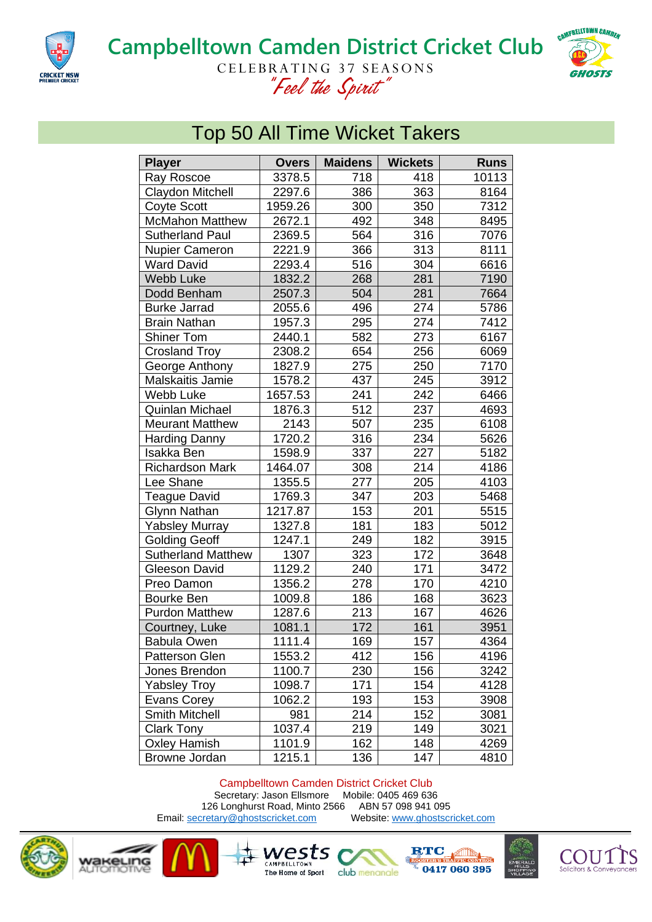

## **Campbelltown Camden District Cricket Club** CELEBRATING 37 SEASONS *"Feel the Spirit"*



## Top 50 All Time Wicket Takers

| <b>Player</b>             | <b>Overs</b> | <b>Maidens</b> | <b>Wickets</b> | <b>Runs</b> |
|---------------------------|--------------|----------------|----------------|-------------|
| Ray Roscoe                | 3378.5       | 718            | 418            | 10113       |
| Claydon Mitchell          | 2297.6       | 386            | 363            | 8164        |
| <b>Coyte Scott</b>        | 1959.26      | 300            | 350            | 7312        |
| <b>McMahon Matthew</b>    | 2672.1       | 492            | 348            | 8495        |
| <b>Sutherland Paul</b>    | 2369.5       | 564            | 316            | 7076        |
| Nupier Cameron            | 2221.9       | 366            | 313            | 8111        |
| <b>Ward David</b>         | 2293.4       | 516            | 304            | 6616        |
| <b>Webb Luke</b>          | 1832.2       | 268            | 281            | 7190        |
| Dodd Benham               | 2507.3       | 504            | 281            | 7664        |
| <b>Burke Jarrad</b>       | 2055.6       | 496            | 274            | 5786        |
| <b>Brain Nathan</b>       | 1957.3       | 295            | 274            | 7412        |
| <b>Shiner Tom</b>         | 2440.1       | 582            | 273            | 6167        |
| <b>Crosland Troy</b>      | 2308.2       | 654            | 256            | 6069        |
| George Anthony            | 1827.9       | 275            | 250            | 7170        |
| Malskaitis Jamie          | 1578.2       | 437            | 245            | 3912        |
| Webb Luke                 | 1657.53      | 241            | 242            | 6466        |
| Quinlan Michael           | 1876.3       | 512            | 237            | 4693        |
| <b>Meurant Matthew</b>    | 2143         | 507            | 235            | 6108        |
| <b>Harding Danny</b>      | 1720.2       | 316            | 234            | 5626        |
| Isakka Ben                | 1598.9       | 337            | 227            | 5182        |
| <b>Richardson Mark</b>    | 1464.07      | 308            | 214            | 4186        |
| Lee Shane                 | 1355.5       | 277            | 205            | 4103        |
| <b>Teague David</b>       | 1769.3       | 347            | 203            | 5468        |
| Glynn Nathan              | 1217.87      | 153            | 201            | 5515        |
| <b>Yabsley Murray</b>     | 1327.8       | 181            | 183            | 5012        |
| <b>Golding Geoff</b>      | 1247.1       | 249            | 182            | 3915        |
| <b>Sutherland Matthew</b> | 1307         | 323            | 172            | 3648        |
| Gleeson David             | 1129.2       | 240            | 171            | 3472        |
| Preo Damon                | 1356.2       | 278            | 170            | 4210        |
| Bourke Ben                | 1009.8       | 186            | 168            | 3623        |
| <b>Purdon Matthew</b>     | 1287.6       | 213            | 167            | 4626        |
| Courtney, Luke            | 1081.1       | 172            | 161            | 3951        |
| Babula Owen               | 1111.4       | 169            | 157            | 4364        |
| <b>Patterson Glen</b>     | 1553.2       | 412            | 156            | 4196        |
| Jones Brendon             | 1100.7       | 230            | 156            | 3242        |
| <b>Yabsley Troy</b>       | 1098.7       | 171            | 154            | 4128        |
| Evans Corey               | 1062.2       | 193            | 153            | 3908        |
| <b>Smith Mitchell</b>     | 981          | 214            | 152            | 3081        |
| <b>Clark Tony</b>         | 1037.4       | 219            | 149            | 3021        |
| <b>Oxley Hamish</b>       | 1101.9       | 162            | 148            | 4269        |
| <b>Browne Jordan</b>      | 1215.1       | 136            | 147            | 4810        |

## Campbelltown Camden District Cricket Club

Secretary: Jason Ellsmore Mobile: 0405 469 636<br>6 Longhurst Road, Minto 2566 ABN 57 098 941 095 126 Longhurst Road, Minto 2566 ABN 57 098 941 095<br>
Stretary@ghostscricket.com Website: www.ghostscricket.com Email[: secretary@ghostscricket.com](mailto:secretary@ghostscricket.com)